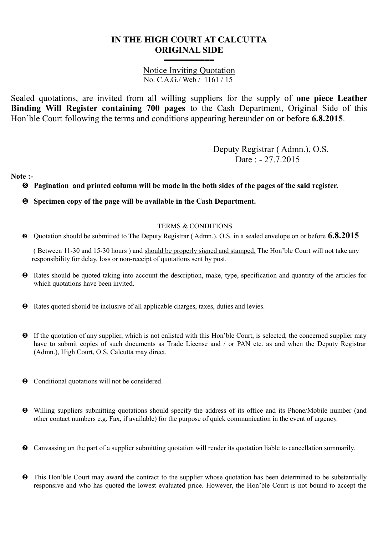## **IN THE HIGH COURT AT CALCUTTA ORIGINAL SIDE**

Notice Inviting Quotation No. C.A.G./ Web / 1161 / 15

**==========**

Sealed quotations, are invited from all willing suppliers for the supply of **one piece Leather Binding Will Register containing 700 pages** to the Cash Department, Original Side of this Hon'ble Court following the terms and conditions appearing hereunder on or before **6.8.2015**.

> Deputy Registrar ( Admn.), O.S. Date : - 27.7.2015

**Note :-** 

**Pagination and printed column will be made in the both sides of the pages of the said register.** 

**Specimen copy of the page will be available in the Cash Department.** 

## TERMS & CONDITIONS

Quotation should be submitted to The Deputy Registrar ( Admn.), O.S. in a sealed envelope on or before **6.8.2015**

 ( Between 11-30 and 15-30 hours ) and should be properly signed and stamped. The Hon'ble Court will not take any responsibility for delay, loss or non-receipt of quotations sent by post.

- Rates should be quoted taking into account the description, make, type, specification and quantity of the articles for which quotations have been invited.
- Rates quoted should be inclusive of all applicable charges, taxes, duties and levies.
- If the quotation of any supplier, which is not enlisted with this Hon'ble Court, is selected, the concerned supplier may have to submit copies of such documents as Trade License and / or PAN etc. as and when the Deputy Registrar (Admn.), High Court, O.S. Calcutta may direct.
- $\bullet$  Conditional quotations will not be considered.
- Willing suppliers submitting quotations should specify the address of its office and its Phone/Mobile number (and other contact numbers e.g. Fax, if available) for the purpose of quick communication in the event of urgency.
- Canvassing on the part of a supplier submitting quotation will render its quotation liable to cancellation summarily.
- **2** This Hon'ble Court may award the contract to the supplier whose quotation has been determined to be substantially responsive and who has quoted the lowest evaluated price. However, the Hon'ble Court is not bound to accept the